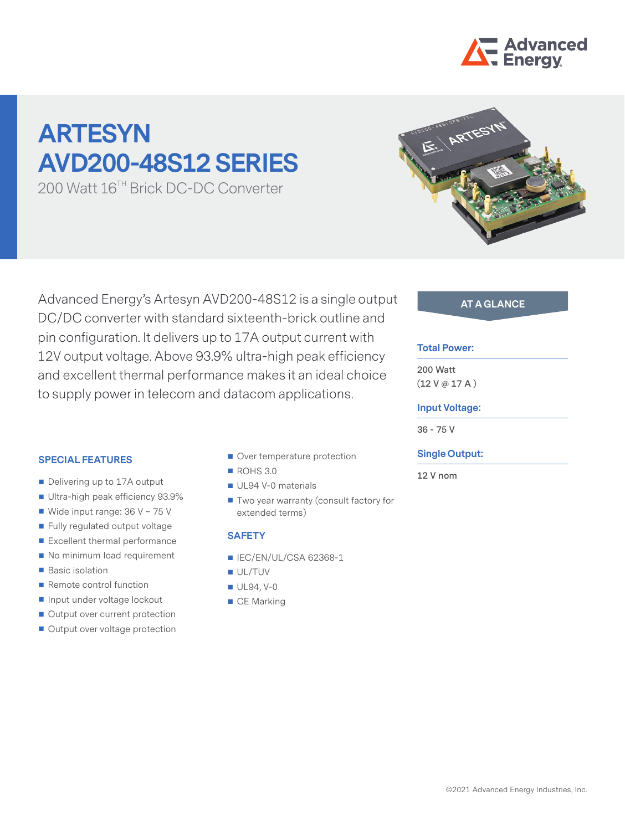

# **ARTESYN AVD200-48S12 SERIES**

200 Watt 16TH Brick DC-DC Converter

Advanced Energy's Artesyn AVD200-48S12 is a single output **AT A GLANCE** DC/DC converter with standard sixteenth-brick outline and pin configuration. It delivers up to 17A output current with 12V output voltage. Above 93.9% ultra-high peak efficiency and excellent thermal performance makes it an ideal choice to supply power in telecom and datacom applications.

#### **SPECIAL FEATURES**

- Delivering up to 17A output
- Ultra-high peak efficiency 93.9%
- Wide input range: 36 V ~ 75 V
- Fully regulated output voltage
- Excellent thermal performance
- No minimum load requirement
- **Basic isolation**
- Remote control function
- **Input under voltage lockout**
- Output over current protection
- Output over voltage protection
- Over temperature protection
- ROHS 3.0
- UL94 V-0 materials
- Two year warranty (consult factory for extended terms)

#### **SAFETY**

- IEC/EN/UL/CSA 62368-1
- UL/TUV
- UL94, V-0
- CE Marking

#### **Total Power:**

**200 Watt (12 V @ 17 A )**

#### **Input Voltage:**

**36 - 75 V**

#### **Single Output:**

**12 V nom**

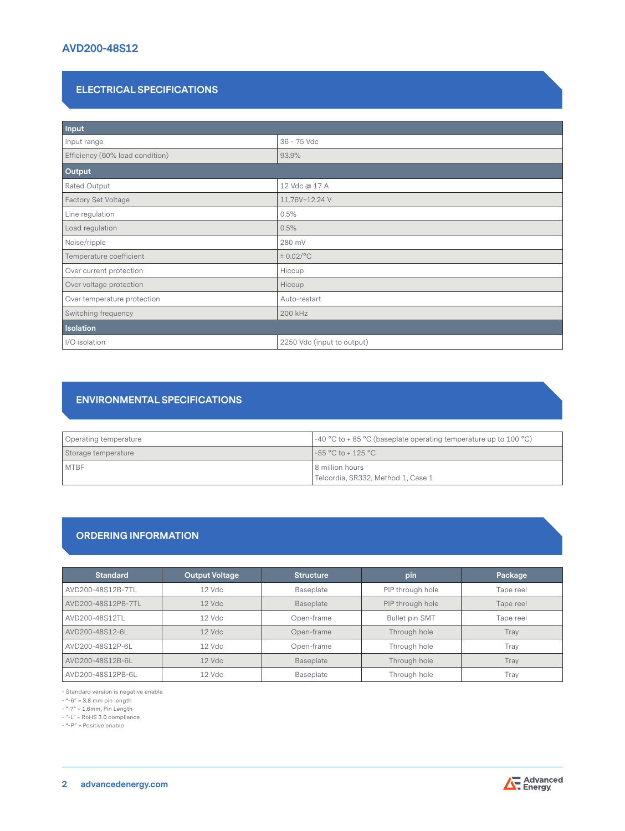# **AVD200-48S12**

## **ELECTRICAL SPECIFICATIONS**

| Input                           |                            |  |  |  |
|---------------------------------|----------------------------|--|--|--|
| Input range                     | 36 - 75 Vdc                |  |  |  |
| Efficiency (60% load condition) | 93.9%                      |  |  |  |
| Output                          |                            |  |  |  |
| Rated Output                    | 12 Vdc @ 17 A              |  |  |  |
| Factory Set Voltage             | 11.76V~12.24 V             |  |  |  |
| Line regulation                 | 0.5%                       |  |  |  |
| Load regulation                 | 0.5%                       |  |  |  |
| Noise/ripple                    | 280 mV                     |  |  |  |
| Temperature coefficient         | $\pm$ 0.02/°C              |  |  |  |
| Over current protection         | Hiccup                     |  |  |  |
| Over voltage protection         | Hiccup                     |  |  |  |
| Over temperature protection     | Auto-restart               |  |  |  |
| Switching frequency             | 200 kHz                    |  |  |  |
| <b>Isolation</b>                |                            |  |  |  |
| I/O isolation                   | 2250 Vdc (input to output) |  |  |  |

## **ENVIRONMENTAL SPECIFICATIONS**

| Operating temperature | $-40$ °C to + 85 °C (baseplate operating temperature up to 100 °C) |  |
|-----------------------|--------------------------------------------------------------------|--|
| Storage temperature   | $1 - 55$ °C to + 125 °C                                            |  |
| <b>MTBF</b>           | 8 million hours                                                    |  |
|                       | Telcordia, SR332, Method 1, Case 1                                 |  |

## **ORDERING INFORMATION**

| <b>Standard</b>    | <b>Output Voltage</b> | <b>Structure</b> | pin              | Package   |
|--------------------|-----------------------|------------------|------------------|-----------|
| AVD200-48S12B-7TL  | 12 Vdc                | Baseplate        | PIP through hole | Tape reel |
| AVD200-48S12PB-7TL | $12$ Vdc              | Baseplate        | PIP through hole | Tape reel |
| AVD200-48S12TL     | $12$ Vdc              | Open-frame       | Bullet pin SMT   | Tape reel |
| AVD200-48S12-6L    | $12$ Vdc              | Open-frame       | Through hole     | Trav      |
| AVD200-48S12P-6L   | $12$ Vdc              | Open-frame       | Through hole     | Tray      |
| AVD200-48S12B-6L   | $12$ Vdc              | Baseplate        | Through hole     | Trav      |
| AVD200-48S12PB-6L  | 12 Vdc                | Baseplate        | Through hole     | Tray      |

- Standard version is negative enable

- "-6" = 3.8 mm pin length

- "-7" = 1.6mm, Pin Length  $-$  "-L" = RoHS 3.0 compliance

- "-P" = Positive enable

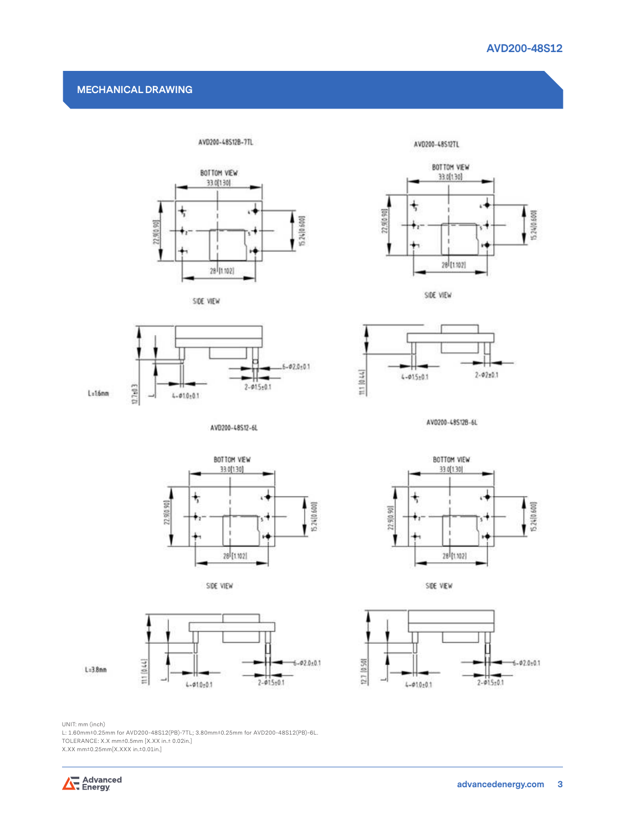#### **MECHANICAL DRAWING**



AVD200-48512B-7TL





 $L = 1.6$ mm

AVD200-48S12-6L









AV0200-48512B-6L



SIDE VIEW





SIDE VIEW



UNIT: mm (inch)

L: 1.60mm±0.25mm for AVD200-48S12(PB)-7TL; 3.80mm±0.25mm for AVD200-48S12(PB)-6L.

TOLERANCE: X.X mm±0.5mm [X.XX in.± 0.02in.]

X.XX mm±0.25mm[X.XXX in.±0.01in.]

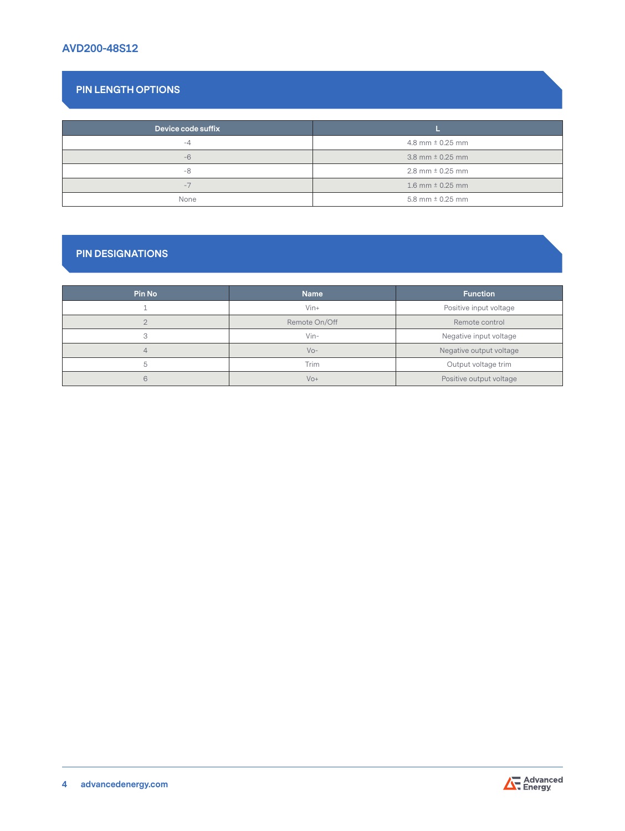# **AVD200-48S12**

# **PIN LENGTH OPTIONS**

| Device code suffix |                      |
|--------------------|----------------------|
| $-\Delta$          | 4.8 mm $\pm$ 0.25 mm |
| $-6$               | 3.8 mm $\pm$ 0.25 mm |
| $-8$               | 2.8 mm $\pm$ 0.25 mm |
| $-1$               | 1.6 mm $\pm$ 0.25 mm |
| None               | 5.8 mm $\pm$ 0.25 mm |

# **PIN DESIGNATIONS**

| <b>Pin No</b> | <b>Name</b>   | <b>Function</b>         |
|---------------|---------------|-------------------------|
|               | $V$ in+       | Positive input voltage  |
| $\cap$        | Remote On/Off | Remote control          |
| $\circ$       | $V$ in-       | Negative input voltage  |
|               | $VQ -$        | Negative output voltage |
| 5             | Trim          | Output voltage trim     |
| 6             | $VO+$         | Positive output voltage |